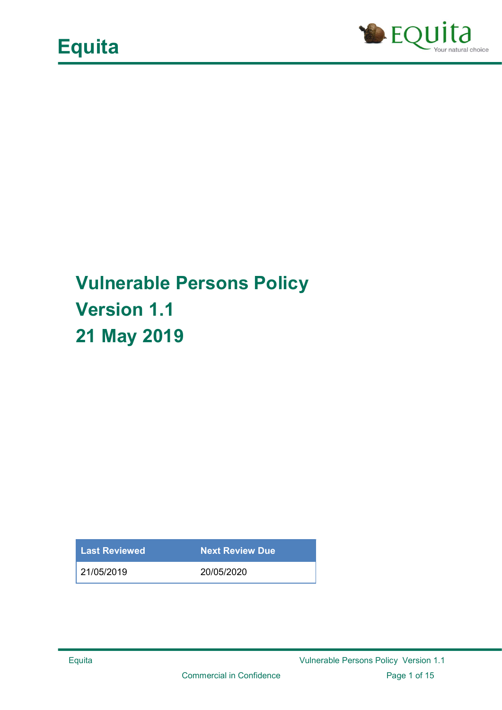

## Vulnerable Persons Policy Version 1.1 21 May 2019

Last Reviewed Next Review Due

21/05/2019 20/05/2020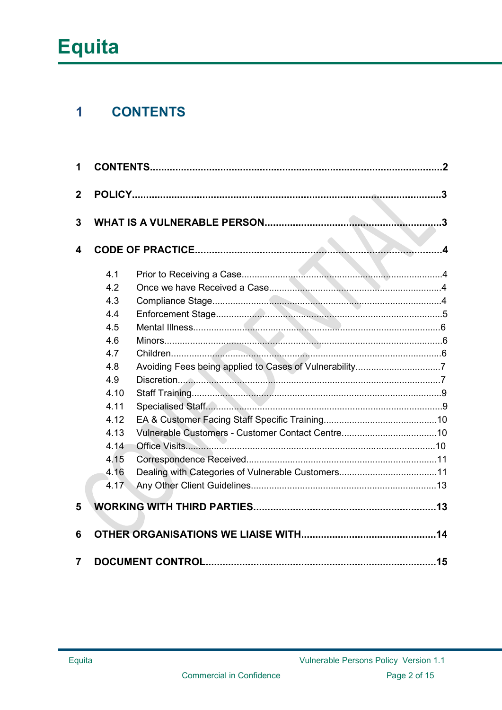#### **CONTENTS**  $\overline{1}$

| 1           |      |                                                        |  |  |  |
|-------------|------|--------------------------------------------------------|--|--|--|
| $\mathbf 2$ |      |                                                        |  |  |  |
|             |      |                                                        |  |  |  |
| 3           |      |                                                        |  |  |  |
|             |      |                                                        |  |  |  |
| 4           |      |                                                        |  |  |  |
|             | 4.1  |                                                        |  |  |  |
|             | 4.2  |                                                        |  |  |  |
|             | 4.3  |                                                        |  |  |  |
|             | 4.4  |                                                        |  |  |  |
|             | 4.5  |                                                        |  |  |  |
|             | 4.6  |                                                        |  |  |  |
|             | 4.7  |                                                        |  |  |  |
|             | 4.8  | Avoiding Fees being applied to Cases of Vulnerability7 |  |  |  |
|             | 4.9  |                                                        |  |  |  |
|             | 4.10 |                                                        |  |  |  |
|             | 4.11 |                                                        |  |  |  |
|             | 4.12 |                                                        |  |  |  |
|             | 4.13 |                                                        |  |  |  |
|             | 4.14 |                                                        |  |  |  |
|             | 4.15 |                                                        |  |  |  |
|             | 4.16 |                                                        |  |  |  |
|             | 4.17 |                                                        |  |  |  |
| 5           |      |                                                        |  |  |  |
| 6           |      |                                                        |  |  |  |
|             |      |                                                        |  |  |  |
| 7           |      |                                                        |  |  |  |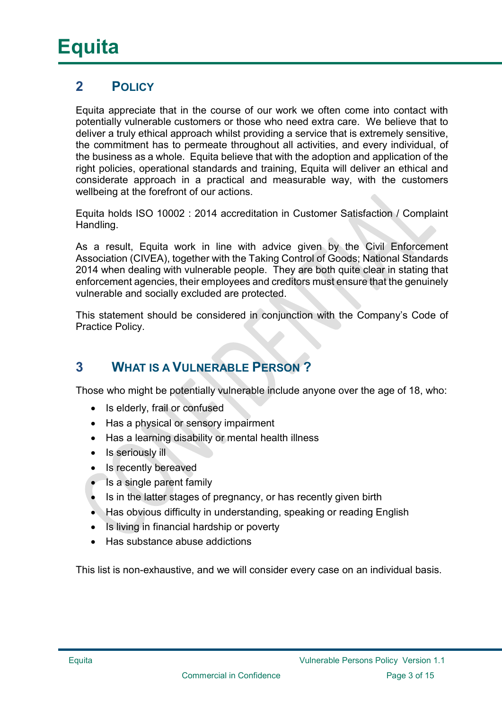## 2 POLICY

Equita appreciate that in the course of our work we often come into contact with potentially vulnerable customers or those who need extra care. We believe that to deliver a truly ethical approach whilst providing a service that is extremely sensitive, the commitment has to permeate throughout all activities, and every individual, of the business as a whole. Equita believe that with the adoption and application of the right policies, operational standards and training, Equita will deliver an ethical and considerate approach in a practical and measurable way, with the customers wellbeing at the forefront of our actions.

Equita holds ISO 10002 : 2014 accreditation in Customer Satisfaction / Complaint Handling.

As a result, Equita work in line with advice given by the Civil Enforcement Association (CIVEA), together with the Taking Control of Goods; National Standards 2014 when dealing with vulnerable people. They are both quite clear in stating that enforcement agencies, their employees and creditors must ensure that the genuinely vulnerable and socially excluded are protected.

This statement should be considered in conjunction with the Company's Code of Practice Policy.

## 3 WHAT IS A VULNERABLE PERSON ?

Those who might be potentially vulnerable include anyone over the age of 18, who:

- Is elderly, frail or confused
- Has a physical or sensory impairment
- Has a learning disability or mental health illness
- $\bullet$  Is seriously ill
- Is recently bereaved
- Is a single parent family
- Is in the latter stages of pregnancy, or has recently given birth
- Has obvious difficulty in understanding, speaking or reading English
- Is living in financial hardship or poverty
- Has substance abuse addictions

This list is non-exhaustive, and we will consider every case on an individual basis.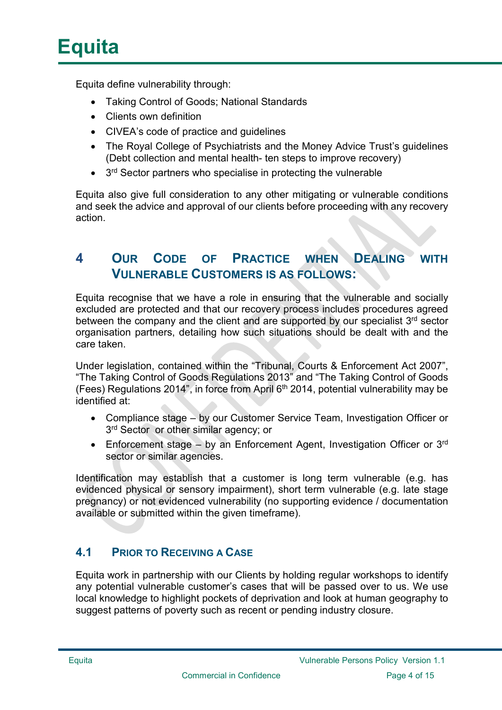Equita define vulnerability through:

- Taking Control of Goods; National Standards
- Clients own definition
- CIVEA's code of practice and guidelines
- The Royal College of Psychiatrists and the Money Advice Trust's guidelines (Debt collection and mental health- ten steps to improve recovery)
- 3<sup>rd</sup> Sector partners who specialise in protecting the vulnerable

Equita also give full consideration to any other mitigating or vulnerable conditions and seek the advice and approval of our clients before proceeding with any recovery action.

## 4 OUR CODE OF PRACTICE WHEN DEALING WITH VULNERABLE CUSTOMERS IS AS FOLLOWS:

Equita recognise that we have a role in ensuring that the vulnerable and socially excluded are protected and that our recovery process includes procedures agreed between the company and the client and are supported by our specialist  $3<sup>rd</sup>$  sector organisation partners, detailing how such situations should be dealt with and the care taken.

Under legislation, contained within the "Tribunal, Courts & Enforcement Act 2007", "The Taking Control of Goods Regulations 2013" and "The Taking Control of Goods (Fees) Regulations 2014", in force from April  $6<sup>th</sup>$  2014, potential vulnerability may be identified at:

- Compliance stage by our Customer Service Team, Investigation Officer or 3<sup>rd</sup> Sector or other similar agency; or
- Enforcement stage by an Enforcement Agent, Investigation Officer or  $3<sup>rd</sup>$ sector or similar agencies.

Identification may establish that a customer is long term vulnerable (e.g. has evidenced physical or sensory impairment), short term vulnerable (e.g. late stage pregnancy) or not evidenced vulnerability (no supporting evidence / documentation available or submitted within the given timeframe).

### 4.1 PRIOR TO RECEIVING A CASE

Equita work in partnership with our Clients by holding regular workshops to identify any potential vulnerable customer's cases that will be passed over to us. We use local knowledge to highlight pockets of deprivation and look at human geography to suggest patterns of poverty such as recent or pending industry closure.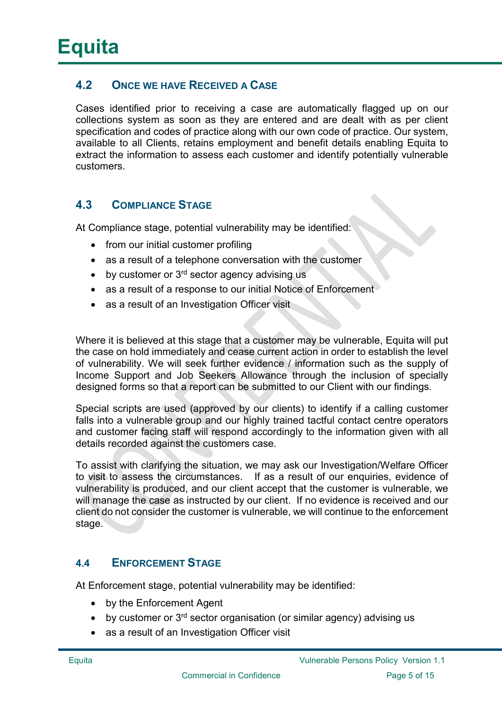#### 4.2 ONCE WE HAVE RECEIVED A CASE

Cases identified prior to receiving a case are automatically flagged up on our collections system as soon as they are entered and are dealt with as per client specification and codes of practice along with our own code of practice. Our system, available to all Clients, retains employment and benefit details enabling Equita to extract the information to assess each customer and identify potentially vulnerable customers.

#### 4.3 COMPLIANCE STAGE

At Compliance stage, potential vulnerability may be identified:

- from our initial customer profiling
- as a result of a telephone conversation with the customer
- $\bullet$  by customer or 3<sup>rd</sup> sector agency advising us
- as a result of a response to our initial Notice of Enforcement
- as a result of an Investigation Officer visit

Where it is believed at this stage that a customer may be vulnerable, Equita will put the case on hold immediately and cease current action in order to establish the level of vulnerability. We will seek further evidence / information such as the supply of Income Support and Job Seekers Allowance through the inclusion of specially designed forms so that a report can be submitted to our Client with our findings.

Special scripts are used (approved by our clients) to identify if a calling customer falls into a vulnerable group and our highly trained tactful contact centre operators and customer facing staff will respond accordingly to the information given with all details recorded against the customers case.

To assist with clarifying the situation, we may ask our Investigation/Welfare Officer to visit to assess the circumstances. If as a result of our enquiries, evidence of vulnerability is produced, and our client accept that the customer is vulnerable, we will manage the case as instructed by our client. If no evidence is received and our client do not consider the customer is vulnerable, we will continue to the enforcement stage.

#### 4.4 ENFORCEMENT STAGE

At Enforcement stage, potential vulnerability may be identified:

- by the Enforcement Agent
- $\bullet$  by customer or 3<sup>rd</sup> sector organisation (or similar agency) advising us
- as a result of an Investigation Officer visit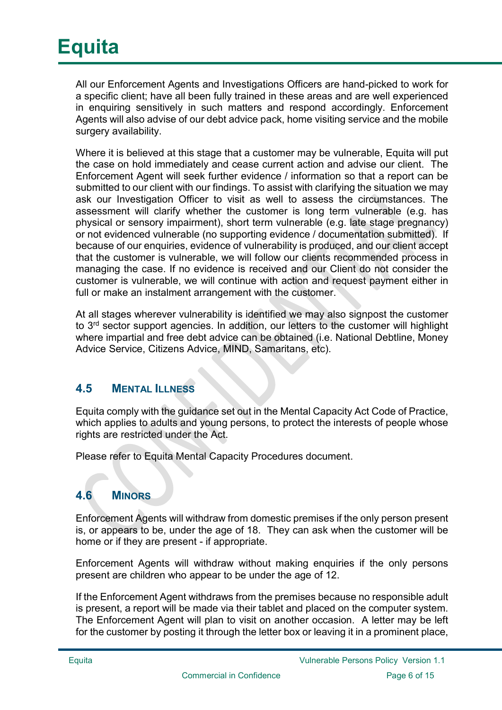All our Enforcement Agents and Investigations Officers are hand-picked to work for a specific client; have all been fully trained in these areas and are well experienced in enquiring sensitively in such matters and respond accordingly. Enforcement Agents will also advise of our debt advice pack, home visiting service and the mobile surgery availability.

Where it is believed at this stage that a customer may be vulnerable, Equita will put the case on hold immediately and cease current action and advise our client. The Enforcement Agent will seek further evidence / information so that a report can be submitted to our client with our findings. To assist with clarifying the situation we may ask our Investigation Officer to visit as well to assess the circumstances. The assessment will clarify whether the customer is long term vulnerable (e.g. has physical or sensory impairment), short term vulnerable (e.g. late stage pregnancy) or not evidenced vulnerable (no supporting evidence / documentation submitted). If because of our enquiries, evidence of vulnerability is produced, and our client accept that the customer is vulnerable, we will follow our clients recommended process in managing the case. If no evidence is received and our Client do not consider the customer is vulnerable, we will continue with action and request payment either in full or make an instalment arrangement with the customer.

At all stages wherever vulnerability is identified we may also signpost the customer to 3<sup>rd</sup> sector support agencies. In addition, our letters to the customer will highlight where impartial and free debt advice can be obtained (i.e. National Debtline, Money Advice Service, Citizens Advice, MIND, Samaritans, etc).

### 4.5 MENTAL ILLNESS

Equita comply with the guidance set out in the Mental Capacity Act Code of Practice, which applies to adults and young persons, to protect the interests of people whose rights are restricted under the Act.

Please refer to Equita Mental Capacity Procedures document.

### 4.6 MINORS

Enforcement Agents will withdraw from domestic premises if the only person present is, or appears to be, under the age of 18. They can ask when the customer will be home or if they are present - if appropriate.

Enforcement Agents will withdraw without making enquiries if the only persons present are children who appear to be under the age of 12.

If the Enforcement Agent withdraws from the premises because no responsible adult is present, a report will be made via their tablet and placed on the computer system. The Enforcement Agent will plan to visit on another occasion. A letter may be left for the customer by posting it through the letter box or leaving it in a prominent place,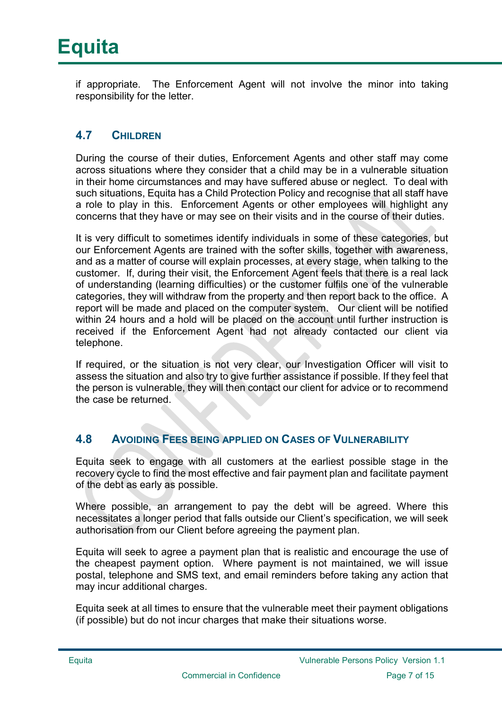if appropriate. The Enforcement Agent will not involve the minor into taking responsibility for the letter.

#### 4.7 CHILDREN

During the course of their duties, Enforcement Agents and other staff may come across situations where they consider that a child may be in a vulnerable situation in their home circumstances and may have suffered abuse or neglect. To deal with such situations, Equita has a Child Protection Policy and recognise that all staff have a role to play in this. Enforcement Agents or other employees will highlight any concerns that they have or may see on their visits and in the course of their duties.

It is very difficult to sometimes identify individuals in some of these categories, but our Enforcement Agents are trained with the softer skills, together with awareness, and as a matter of course will explain processes, at every stage, when talking to the customer. If, during their visit, the Enforcement Agent feels that there is a real lack of understanding (learning difficulties) or the customer fulfils one of the vulnerable categories, they will withdraw from the property and then report back to the office. A report will be made and placed on the computer system. Our client will be notified within 24 hours and a hold will be placed on the account until further instruction is received if the Enforcement Agent had not already contacted our client via telephone.

If required, or the situation is not very clear, our Investigation Officer will visit to assess the situation and also try to give further assistance if possible. If they feel that the person is vulnerable, they will then contact our client for advice or to recommend the case be returned.

#### 4.8 AVOIDING FEES BEING APPLIED ON CASES OF VULNERABILITY

Equita seek to engage with all customers at the earliest possible stage in the recovery cycle to find the most effective and fair payment plan and facilitate payment of the debt as early as possible.

Where possible, an arrangement to pay the debt will be agreed. Where this necessitates a longer period that falls outside our Client's specification, we will seek authorisation from our Client before agreeing the payment plan.

Equita will seek to agree a payment plan that is realistic and encourage the use of the cheapest payment option. Where payment is not maintained, we will issue postal, telephone and SMS text, and email reminders before taking any action that may incur additional charges.

Equita seek at all times to ensure that the vulnerable meet their payment obligations (if possible) but do not incur charges that make their situations worse.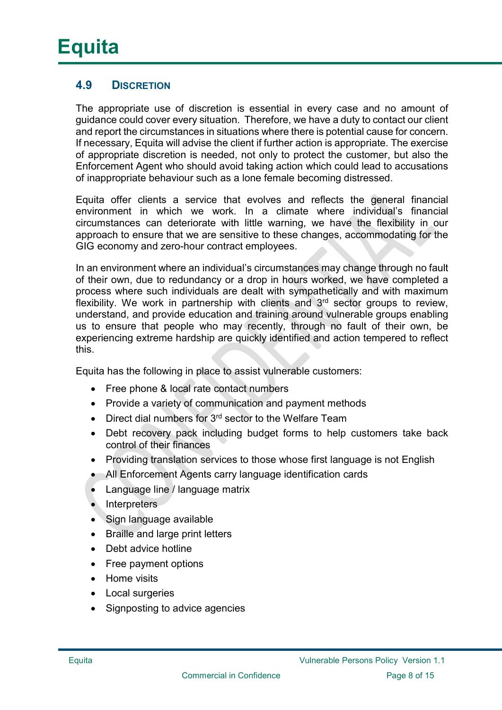### 4.9 DISCRETION

The appropriate use of discretion is essential in every case and no amount of guidance could cover every situation. Therefore, we have a duty to contact our client and report the circumstances in situations where there is potential cause for concern. If necessary, Equita will advise the client if further action is appropriate. The exercise of appropriate discretion is needed, not only to protect the customer, but also the Enforcement Agent who should avoid taking action which could lead to accusations of inappropriate behaviour such as a lone female becoming distressed.

Equita offer clients a service that evolves and reflects the general financial environment in which we work. In a climate where individual's financial circumstances can deteriorate with little warning, we have the flexibility in our approach to ensure that we are sensitive to these changes, accommodating for the GIG economy and zero-hour contract employees.

In an environment where an individual's circumstances may change through no fault of their own, due to redundancy or a drop in hours worked, we have completed a process where such individuals are dealt with sympathetically and with maximum flexibility. We work in partnership with clients and  $3<sup>rd</sup>$  sector groups to review, understand, and provide education and training around vulnerable groups enabling us to ensure that people who may recently, through no fault of their own, be experiencing extreme hardship are quickly identified and action tempered to reflect this.

Equita has the following in place to assist vulnerable customers:

- Free phone & local rate contact numbers
- Provide a variety of communication and payment methods
- $\bullet$  Direct dial numbers for 3<sup>rd</sup> sector to the Welfare Team
- Debt recovery pack including budget forms to help customers take back control of their finances
- Providing translation services to those whose first language is not English
- All Enforcement Agents carry language identification cards
- Language line / language matrix
- Interpreters
- Sign language available
- Braille and large print letters
- Debt advice hotline
- Free payment options
- Home visits
- Local surgeries
- Signposting to advice agencies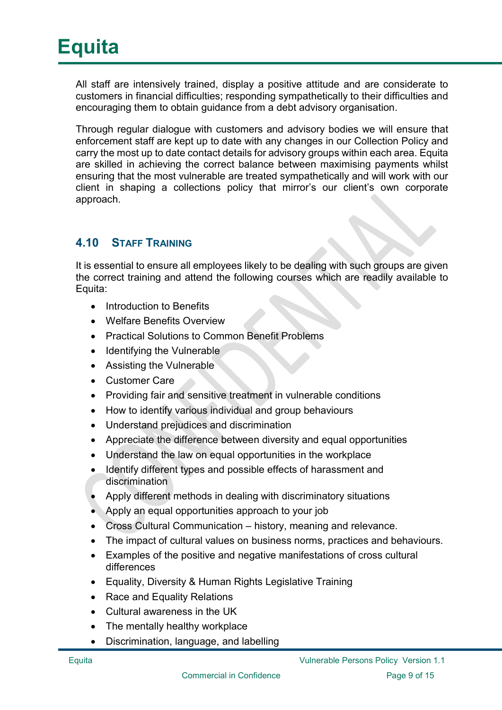All staff are intensively trained, display a positive attitude and are considerate to customers in financial difficulties; responding sympathetically to their difficulties and encouraging them to obtain guidance from a debt advisory organisation.

Through regular dialogue with customers and advisory bodies we will ensure that enforcement staff are kept up to date with any changes in our Collection Policy and carry the most up to date contact details for advisory groups within each area. Equita are skilled in achieving the correct balance between maximising payments whilst ensuring that the most vulnerable are treated sympathetically and will work with our client in shaping a collections policy that mirror's our client's own corporate approach.

#### 4.10 STAFF TRAINING

It is essential to ensure all employees likely to be dealing with such groups are given the correct training and attend the following courses which are readily available to Equita:

- Introduction to Benefits
- Welfare Benefits Overview
- Practical Solutions to Common Benefit Problems
- $\bullet$  Identifying the Vulnerable
- Assisting the Vulnerable
- Customer Care
- Providing fair and sensitive treatment in vulnerable conditions
- How to identify various individual and group behaviours
- Understand prejudices and discrimination
- Appreciate the difference between diversity and equal opportunities
- Understand the law on equal opportunities in the workplace
- Identify different types and possible effects of harassment and discrimination
- Apply different methods in dealing with discriminatory situations
- Apply an equal opportunities approach to your job
- Cross Cultural Communication history, meaning and relevance.
- The impact of cultural values on business norms, practices and behaviours.
- Examples of the positive and negative manifestations of cross cultural differences
- Equality, Diversity & Human Rights Legislative Training
- Race and Equality Relations
- Cultural awareness in the UK
- The mentally healthy workplace
- Discrimination, language, and labelling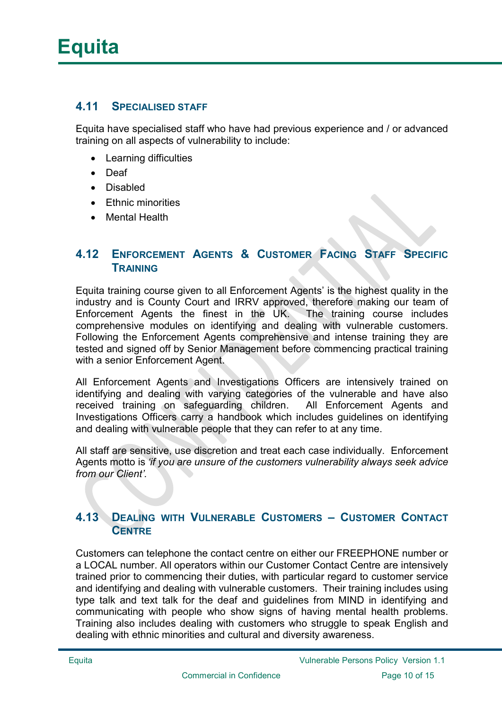#### 4.11 SPECIALISED STAFF

Equita have specialised staff who have had previous experience and / or advanced training on all aspects of vulnerability to include:

- Learning difficulties
- Deaf
- Disabled
- Ethnic minorities
- Mental Health

#### 4.12 ENFORCEMENT AGENTS & CUSTOMER FACING STAFF SPECIFIC **TRAINING**

Equita training course given to all Enforcement Agents' is the highest quality in the industry and is County Court and IRRV approved, therefore making our team of Enforcement Agents the finest in the UK. The training course includes comprehensive modules on identifying and dealing with vulnerable customers. Following the Enforcement Agents comprehensive and intense training they are tested and signed off by Senior Management before commencing practical training with a senior Enforcement Agent.

All Enforcement Agents and Investigations Officers are intensively trained on identifying and dealing with varying categories of the vulnerable and have also received training on safeguarding children. All Enforcement Agents and Investigations Officers carry a handbook which includes guidelines on identifying and dealing with vulnerable people that they can refer to at any time.

All staff are sensitive, use discretion and treat each case individually. Enforcement Agents motto is 'if you are unsure of the customers vulnerability always seek advice from our Client'.

#### 4.13 DEALING WITH VULNERABLE CUSTOMERS – CUSTOMER CONTACT **CENTRE**

Customers can telephone the contact centre on either our FREEPHONE number or a LOCAL number. All operators within our Customer Contact Centre are intensively trained prior to commencing their duties, with particular regard to customer service and identifying and dealing with vulnerable customers. Their training includes using type talk and text talk for the deaf and guidelines from MIND in identifying and communicating with people who show signs of having mental health problems. Training also includes dealing with customers who struggle to speak English and dealing with ethnic minorities and cultural and diversity awareness.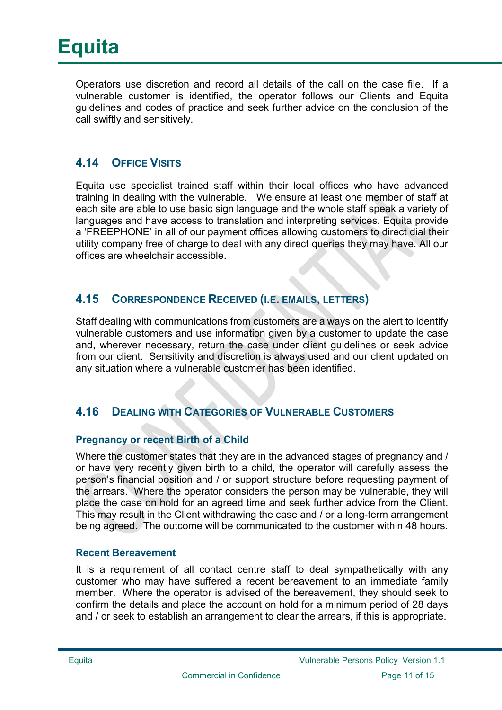

Operators use discretion and record all details of the call on the case file. If a vulnerable customer is identified, the operator follows our Clients and Equita guidelines and codes of practice and seek further advice on the conclusion of the call swiftly and sensitively.

#### 4.14 OFFICE VISITS

Equita use specialist trained staff within their local offices who have advanced training in dealing with the vulnerable. We ensure at least one member of staff at each site are able to use basic sign language and the whole staff speak a variety of languages and have access to translation and interpreting services. Equita provide a 'FREEPHONE' in all of our payment offices allowing customers to direct dial their utility company free of charge to deal with any direct queries they may have. All our offices are wheelchair accessible.

#### 4.15 CORRESPONDENCE RECEIVED (I.E. EMAILS, LETTERS)

Staff dealing with communications from customers are always on the alert to identify vulnerable customers and use information given by a customer to update the case and, wherever necessary, return the case under client guidelines or seek advice from our client. Sensitivity and discretion is always used and our client updated on any situation where a vulnerable customer has been identified.

#### 4.16 DEALING WITH CATEGORIES OF VULNERABLE CUSTOMERS

#### Pregnancy or recent Birth of a Child

Where the customer states that they are in the advanced stages of pregnancy and / or have very recently given birth to a child, the operator will carefully assess the person's financial position and / or support structure before requesting payment of the arrears. Where the operator considers the person may be vulnerable, they will place the case on hold for an agreed time and seek further advice from the Client. This may result in the Client withdrawing the case and / or a long-term arrangement being agreed. The outcome will be communicated to the customer within 48 hours.

#### Recent Bereavement

It is a requirement of all contact centre staff to deal sympathetically with any customer who may have suffered a recent bereavement to an immediate family member. Where the operator is advised of the bereavement, they should seek to confirm the details and place the account on hold for a minimum period of 28 days and / or seek to establish an arrangement to clear the arrears, if this is appropriate.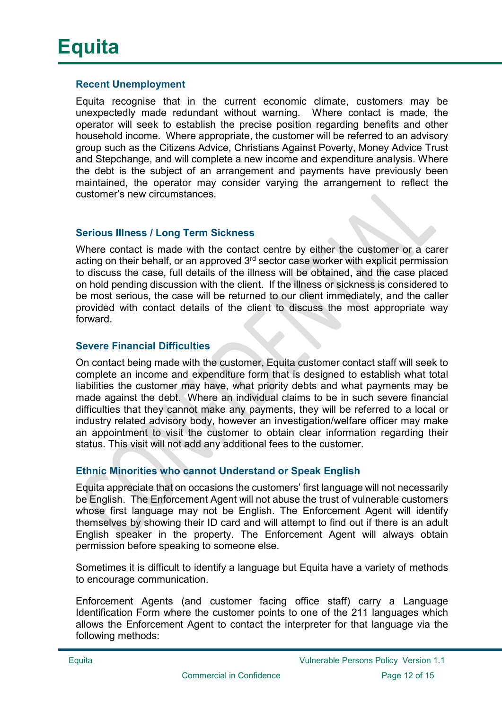#### Recent Unemployment

Equita recognise that in the current economic climate, customers may be unexpectedly made redundant without warning. Where contact is made, the operator will seek to establish the precise position regarding benefits and other household income. Where appropriate, the customer will be referred to an advisory group such as the Citizens Advice, Christians Against Poverty, Money Advice Trust and Stepchange, and will complete a new income and expenditure analysis. Where the debt is the subject of an arrangement and payments have previously been maintained, the operator may consider varying the arrangement to reflect the customer's new circumstances.

#### Serious Illness / Long Term Sickness

Where contact is made with the contact centre by either the customer or a carer acting on their behalf, or an approved 3rd sector case worker with explicit permission to discuss the case, full details of the illness will be obtained, and the case placed on hold pending discussion with the client. If the illness or sickness is considered to be most serious, the case will be returned to our client immediately, and the caller provided with contact details of the client to discuss the most appropriate way forward.

#### Severe Financial Difficulties

On contact being made with the customer, Equita customer contact staff will seek to complete an income and expenditure form that is designed to establish what total liabilities the customer may have, what priority debts and what payments may be made against the debt. Where an individual claims to be in such severe financial difficulties that they cannot make any payments, they will be referred to a local or industry related advisory body, however an investigation/welfare officer may make an appointment to visit the customer to obtain clear information regarding their status. This visit will not add any additional fees to the customer.

#### Ethnic Minorities who cannot Understand or Speak English

Equita appreciate that on occasions the customers' first language will not necessarily be English. The Enforcement Agent will not abuse the trust of vulnerable customers whose first language may not be English. The Enforcement Agent will identify themselves by showing their ID card and will attempt to find out if there is an adult English speaker in the property. The Enforcement Agent will always obtain permission before speaking to someone else.

Sometimes it is difficult to identify a language but Equita have a variety of methods to encourage communication.

Enforcement Agents (and customer facing office staff) carry a Language Identification Form where the customer points to one of the 211 languages which allows the Enforcement Agent to contact the interpreter for that language via the following methods: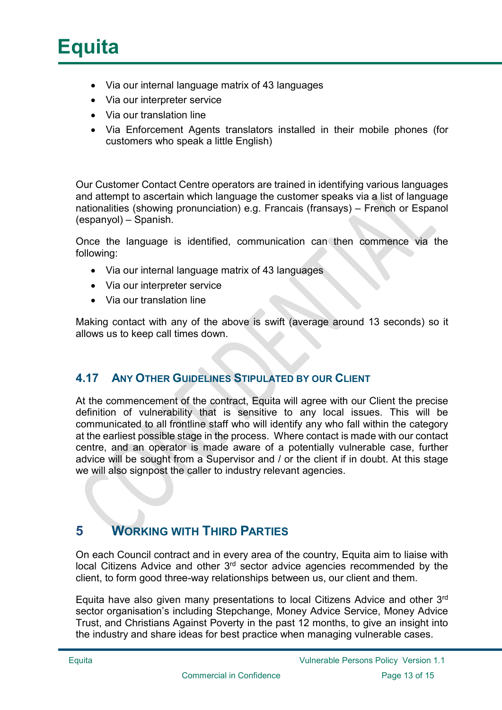## **Equita**

- Via our internal language matrix of 43 languages
- Via our interpreter service
- Via our translation line
- Via Enforcement Agents translators installed in their mobile phones (for customers who speak a little English)

Our Customer Contact Centre operators are trained in identifying various languages and attempt to ascertain which language the customer speaks via a list of language nationalities (showing pronunciation) e.g. Francais (fransays) – French or Espanol (espanyol) – Spanish.

Once the language is identified, communication can then commence via the following:

- Via our internal language matrix of 43 languages
- Via our interpreter service
- Via our translation line

Making contact with any of the above is swift (average around 13 seconds) so it allows us to keep call times down.

#### 4.17 ANY OTHER GUIDELINES STIPULATED BY OUR CLIENT

At the commencement of the contract, Equita will agree with our Client the precise definition of vulnerability that is sensitive to any local issues. This will be communicated to all frontline staff who will identify any who fall within the category at the earliest possible stage in the process. Where contact is made with our contact centre, and an operator is made aware of a potentially vulnerable case, further advice will be sought from a Supervisor and / or the client if in doubt. At this stage we will also signpost the caller to industry relevant agencies.

### 5 WORKING WITH THIRD PARTIES

On each Council contract and in every area of the country, Equita aim to liaise with local Citizens Advice and other 3rd sector advice agencies recommended by the client, to form good three-way relationships between us, our client and them.

Equita have also given many presentations to local Citizens Advice and other 3rd sector organisation's including Stepchange, Money Advice Service, Money Advice Trust, and Christians Against Poverty in the past 12 months, to give an insight into the industry and share ideas for best practice when managing vulnerable cases.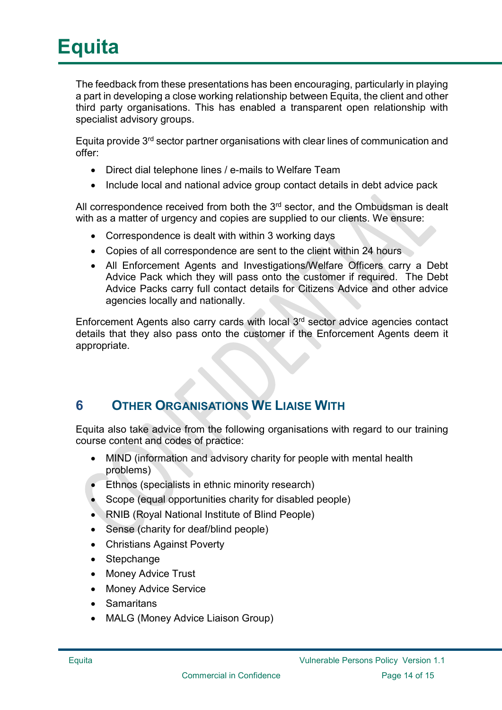The feedback from these presentations has been encouraging, particularly in playing a part in developing a close working relationship between Equita, the client and other third party organisations. This has enabled a transparent open relationship with specialist advisory groups.

Equita provide 3rd sector partner organisations with clear lines of communication and offer:

- Direct dial telephone lines / e-mails to Welfare Team
- Include local and national advice group contact details in debt advice pack

All correspondence received from both the  $3<sup>rd</sup>$  sector, and the Ombudsman is dealt with as a matter of urgency and copies are supplied to our clients. We ensure:

- Correspondence is dealt with within 3 working days
- Copies of all correspondence are sent to the client within 24 hours
- All Enforcement Agents and Investigations/Welfare Officers carry a Debt Advice Pack which they will pass onto the customer if required. The Debt Advice Packs carry full contact details for Citizens Advice and other advice agencies locally and nationally.

Enforcement Agents also carry cards with local 3rd sector advice agencies contact details that they also pass onto the customer if the Enforcement Agents deem it appropriate.

## **6 OTHER ORGANISATIONS WE LIAISE WITH**

Equita also take advice from the following organisations with regard to our training course content and codes of practice:

- MIND (information and advisory charity for people with mental health problems)
- Ethnos (specialists in ethnic minority research)
- Scope (equal opportunities charity for disabled people)
- RNIB (Royal National Institute of Blind People)
- Sense (charity for deaf/blind people)
- Christians Against Poverty
- Stepchange
- Money Advice Trust
- Money Advice Service
- Samaritans
- MALG (Money Advice Liaison Group)